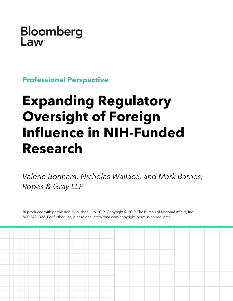## Bloomberg Law

**Professional Perspective**

# **Expanding Regulatory Oversight of Foreign Influence in NIH-Funded Research**

*Valerie Bonham, Nicholas Wallace, and Mark Barnes, Ropes & Gray LLP*

Reproduced with permission. Published July 2019. Copyright © 2019 The Bureau of National Affairs, Inc. 800.372.1033. For further use, please visit: http://bna.com/copyright-permission-request/

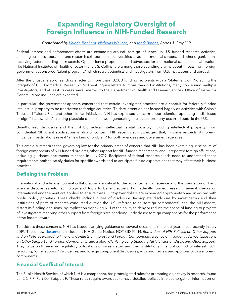### **Expanding Regulatory Oversight of Foreign Influence in NIH-Funded Research**

#### *Contributed by [Valerie Bonham,](https://www.ropesgray.com/en/biographies/b/valerie-bonham) [Nicholas Wallace,](https://www.ropesgray.com/en/biographies/w/nicholas-wallace) and [Mark Barnes,](https://www.ropesgray.com/en/biographies/b/mark-barnes) Ropes & Gray LLP*

Federal interest and enforcement efforts are expanding around "foreign influence" in U.S.-funded research activities, affecting business operations and research collaboration at universities, academic medical centers, and other organizations receiving federal funding for research. Open science proponents and advocates for international scientific collaboration, like National Institutes of Health director Francis S. Collins, are among those sounding alarms about threats from foreign government-sponsored "talent programs," which recruit scientists and investigators from U.S. institutions and abroad.

After the unusual step of sending a letter to more than 10,000 funding recipients with a "Statement on Protecting the Integrity of U.S. Biomedical Research," NIH sent inquiry letters to more than 60 institutions, many concerning multiple investigators, and at least 18 cases were referred to the Department of Health and Human Services' Office of Inspector General. More inquiries are expected.

In particular, the government appears concerned that certain investigator practices are a conduit for federally funded intellectual property to be transferred to foreign countries. To date, attention has focused largely on activities with China's Thousand Talents Plan and other similar initiatives. NIH has expressed concern about scientists operating undisclosed foreign "shadow labs," creating plausible claims that work generating intellectual property occurred outside the U.S.

Unauthorized disclosure and theft of biomedical intellectual capital, possibly including intellectual property, from confidential NIH grant applications is also of concern. NIH recently acknowledged that, in some respects, its foreign influence investigations reveal "a new kind of problem" for both awardees and government agencies.

This article summarizes the governing law for the primary areas of concern that NIH has been examining—disclosure of foreign components of NIH-funded projects, other support for NIH-funded researchers, and unreported foreign affiliations, including guidance documents released in July 2019. Recipients of federal research funds need to understand these requirements both to satisfy duties for specific awards and to anticipate future expectations that may affect their business practices.

#### **Defining the Problem**

International and inter-institutional collaboration are critical to the advancement of science and the translation of basic science discoveries into technology and tools to benefit society. For federally funded research, several checks on international engagement are applied to ensure that U.S. taxpayer dollars are expended appropriately and in accord with public policy priorities. These checks include duties of disclosure. Incomplete disclosure by investigators and their institutions of parts of research conducted outside the U.S.—referred to as "foreign components"—can, the NIH asserts, distort its funding decisions, by implication depriving NIH of the ability to deny or reduce the scope of funding to projects of investigators receiving other support from foreign sites or adding undisclosed foreign components for the performance of the federal award.

To address these concerns, NIH has issued clarifying guidance on several occasions in the last year, most recently in July 2019. These new [documents](https://nexus.od.nih.gov/all/category/blog/) include an NIH Guide Notice, NOT-OD-19-114, *Reminders of NIH Policies on Other Support and on Policies Related to Financial Conflicts of Interest and Foreign Components*, a series of Frequently Asked Questions on *Other Support and Foreign Components*, and a blog, *Clarifying Long-Standing NIH Policies on Disclosing Other Support*. They focus on three main regulatory obligations of investigators and their institutions: financial conflict of interest (COI) reporting, "other support" disclosures, and foreign component disclosures, with prior review and approval of those foreign components.

#### **Financial Conflict of Interest**

The Public Health Service, of which NIH is a component, has promulgated rules for promoting objectivity in research, found at 42 C.F.R. Part 50, Subpart F. These rules require awardees to have detailed policies in place to gather information on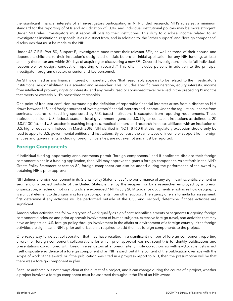the significant financial interests of all investigators participating in NIH-funded research. NIH's rules set a minimum standard for the reporting of SFIs and adjudication of COIs, and individual institutional policies may be more stringent. Under NIH rules, investigators must report all SFIs to their institutions. This duty to disclose income related to an investigator's institutional responsibilities is distinct from, and in addition to, the "other support" and "foreign component" disclosures that must be made to the NIH.

Under 42 C.F.R. Part 50, Subpart F, investigators must report their relevant SFIs, as well as those of their spouse and dependent children, to their institution's designated officials before an initial application for any NIH funding, at least annually thereafter and within 30 days of acquiring or discovering a new SFI. Covered investigators include "all individuals responsible for design, conduct or reporting of research." This often includes persons in addition to the principal investigator, program director, or senior and key personnel.

An SFI is defined as any financial interest of monetary value "that reasonably appears to be related to the Investigator's Institutional responsibilities" as a scientist and researcher. This includes specific remuneration, equity interests, income from intellectual property rights or interests, and any reimbursed or sponsored travel received in the preceding 12 months that meets or exceeds NIH's prescribed thresholds.

One point of frequent confusion surrounding the definition of reportable financial interests arises from a distinction NIH draws between U.S. and foreign sources of investigators' financial interests and income. Under the regulation, income from seminars, lectures, or teaching sponsored by U.S.-based institutions is excepted from reporting requirements. These institutions include U.S. federal, state, or local government agencies, U.S. higher education institutions as defined at 20 U.S.C.1001(a), and U.S. academic teaching hospitals, medical centers, and research institutes affiliated with an institution of U.S. higher education. Indeed, in March 2018, NIH clarified in NOT-18-160 that this regulatory exception should only be read to apply to U.S. governmental entities and institutions. By contrast, the same types of income or support from foreign entities and governments, including foreign universities, are not exempt and must be reported.

#### **Foreign Components**

If individual funding opportunity announcements permit "foreign components," and if applicants disclose their foreign component plans in a funding application, then NIH may approve the grant's foreign component. As set forth in the NIH's Grants Policy Statement at section 8.1, foreign component can also be added during the performance of the award by obtaining NIH's prior approval.

NIH defines a foreign component in its Grants Policy Statement as "the performance of any significant scientific element or segment of a project outside of the United States, either by the recipient or by a researcher employed by a foreign organization, whether or not grant funds are expended." NIH's July 2019 guidance documents emphasize how geography is a critical element to distinguishing foreign components from other support. The agency offers a formula for assessment: first determine if any activities will be performed outside of the U.S., and, second, determine if those activities are significant.

Among other activities, the following types of work qualify as significant scientific elements or segments triggering foreign component disclosure and prior approval: involvement of human subjects, extensive foreign travel, and activities that may have an impact on U.S. foreign policy through involvement in the affairs or environment of a foreign country. If the foreign activities are significant, NIH's prior authorization is required to add them as foreign components to the project.

One ready way to detect collaboration that may have resulted in a significant number of foreign component reporting errors (i.e., foreign component collaborations for which prior approval was not sought) is to identify publications and presentations co-authored with foreign investigators at a foreign site. Simple co-authorship with ex-U.S. scientists is not itself dispositive evidence of a foreign component of an NIH award, but if the content of the publication overlaps with the scope of work of the award, or if the publication was cited in a progress report to NIH, then the presumption will be that there was a foreign component in play.

Because authorship is not always clear at the outset of a project, and it can change during the course of a project, whether a project involves a foreign component must be assessed throughout the life of an NIH award.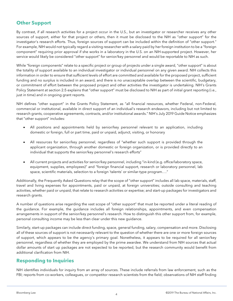#### **Other Support**

By contrast, if all research activities for a project occur in the U.S., but an investigator or researcher receives any other sources of support, either for that project or others, then it must be disclosed to the NIH as "other support" for the investigator's research efforts. Thus, foreign sources of support can be included within the definition of "other support." For example, NIH would not typically regard a visiting researcher with a salary paid by her foreign institution to be a "foreign component" requiring prior approval if she works in a laboratory in the U.S. on an NIH-supported project. However, her service would likely be considered "other support" for senior/key personnel and would be reportable to NIH as such.

While "foreign components" relate to a specific project or group of projects under a single award, "other support" is about the totality of support available to an individual investigator or individual personnel on any given award. NIH collects this information in order to ensure that sufficient levels of effort are committed and available for the proposed project, sufficient funding and no surplus is included in an award, and there is no unacceptable overlap between the scientific, budgetary, or commitment of effort between the proposed project and other activities the investigator is undertaking. NIH's Grants Policy Statement at section 2.5 explains that "other support" must be disclosed to NIH as part of initial grant reporting (i.e., just in time) and in ongoing grant reports.

NIH defines "other support" in the Grants Policy Statement, as "all financial resources, whether Federal, non-Federal, commercial or institutional, available in direct support of an individual's research endeavors, including but not limited to research grants, cooperative agreements, contracts, and/or institutional awards." NIH's July 2019 Guide Notice emphasizes that "other support" includes:

- All positions and appointments held by senior/key personnel relevant to an application, including domestic or foreign, full or part time, paid or unpaid, adjunct, visiting, or honorary
- All resources for senior/key personnel, regardless of "whether such support is provided through the applicant organization, through another domestic or foreign organization, or is provided directly to an individual that supports the senior/key personnel's research efforts"
- All current projects and activities for senior/key personnel, including "in-kind (e.g. office/laboratory space, equipment, supplies, employees)" and "foreign financial support, research or laboratory personnel, lab space, scientific materials, selection to a foreign 'talents' or similar-type program…."

Additionally, the Frequently Asked Questions relay that the scope of "other support" includes all lab space, materials, staff, travel and living expenses for appointments, paid or unpaid, at foreign universities; outside consulting and teaching activities, whether paid or unpaid, that relate to research activities or expertise; and start-up packages for investigators and research grants.

A number of questions arise regarding the vast scope of "other support" that must be reported under a literal reading of the guidance. For example, the guidance includes all foreign relationships, appointments, and even compensation arrangements in support of the senior/key personnel's research. How to distinguish this other support from, for example, personal consulting income may be less than clear under this new guidance.

Similarly, start-up packages can include direct funding, space, general funding, salary, compensation and more. Disclosing all of these sources of support is not necessarily relevant to the question of whether there are one or more foreign sources of support, which appears to be the agency's primary goal. Nonetheless, it appears to be required for all senior/key personnel, regardless of whether they are employed by the prime awardee. We understand from NIH sources that actual dollar amounts of start up packages are not expected to be reported, but the research community would benefit from additional clarification from NIH.

#### **Responding to Inquiries**

NIH identifies individuals for inquiry from an array of sources. These include referrals from law enforcement, such as the FBI; reports from co-workers, colleagues, or competitor research scientists from the field; observations of NIH staff finding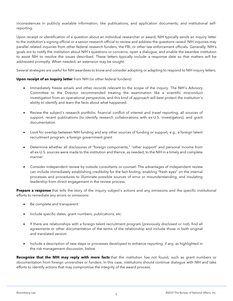inconsistences in publicly available information, like publications, and application documents; and institutional selfreporting.

Upon receipt or identification of a question about an individual researcher or award, NIH typically sends an inquiry letter to the institution's signing official or a senior research official to review and address the questions raised. NIH inquiries may parallel related inquiries from other federal research funders, the FBI, or other law enforcement officials. Generally, NIH's goals are to notify the institution about NIH's questions or concerns, open a dialogue, and enable the awardee institution to assist NIH to resolve the issues described. These letters typically include a response date so that matters will be addressed promptly. When needed, an extension may be sought.

Several strategies are useful for NIH awardees to know and consider adopting or adapting to respond to NIH inquiry letters.

#### **Upon receipt of an inquiry letter** from NIH (or other federal funders):

- Immediately freeze emails and other records relevant to the scope of the inquiry. The NIH's Advisory Committee to the Director recommended treating the examination like a scientific misconduct investigation from an operational perspective, and this kind of approach will best protect the institution's ability to identify and learn the facts about what happened.
- Review the subject's research portfolio, financial conflict of interest and travel reporting, all sources of support, recent publications (to identify research collaborations with ex-U.S. investigators), and grant documentation
- Look for overlap between NIH funding and any other sources of funding or support, e.g., a foreign talent recruitment program, a foreign government grant
- Determine whether all disclosures of "foreign components," "other support" and personal income from all ex-U.S. sources were made to the institution and thence, as needed, to the NIH in a timely and complete manner
- Consider independent review by outside consultants or counsel. The advantages of independent review can include immediately establishing credibility for the fact-finding, enabling "fresh eyes" on the internal processes and procedures to illuminate possible sources of error or misunderstanding, and insulating leadership from direct engagement in the review process.

**Prepare a response** that tells the story of the inquiry subject's actions and any omissions and the specific institutional efforts to remediate any errors or omissions:

- Be complete and transparent
- Include specific dates, grant numbers, publications, etc.
- If there are relationships with a foreign talent recruitment program (previously disclosed or not), find all agreements or other documentation of the terms of the relationship and include those in both original and translated version
- Include a description of new steps or processes developed to enhance reporting, if any, as highlighted in the risk management discussion, below

**Recognize that the NIH may reply with more facts** that the institution has not found, such as grant numbers or documentation from foreign universities or funders. In this case, institutions should continue dialogue with NIH and take efforts to identify actions that may compromise the integrity of the award process.